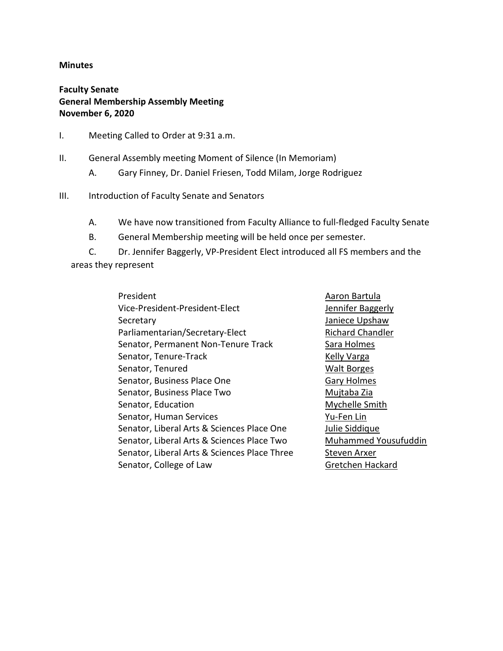#### **Minutes**

Faculty Senate General Membership Assembly Meeting November 6, 2020

- I. Meeting Called to Order at 9:31 a.m.
- II. General Assembly meeting Moment of Silence (In Memoriam)
	- A. Gary Finney, Dr. Daniel Friesen, Todd Milam, Jorge Rodriguez
- III. Introduction of Faculty Senate and Senators
	- A. We have now transitioned from Faculty Alliance to full-fledged Faculty Senate
	- B. General Membership meeting will be held once per semester.

C. Dr. Jennifer Baggerly, VP-President Elect introduced all FS members and the areas they represent

> President **Aaron Bartula** Vice-President-President-Elect Jennifer Baggerly Secretary **Secretary Janiece Upshaw** Parliamentarian/Secretary-Elect Richard Chandler Senator, Permanent Non-Tenure Track Sara Holmes Senator, Tenure-Track Kelly Varga Senator, Tenured Walt Borges Senator, Business Place One Gary Holmes Senator, Business Place Two Mujtaba Zia Senator, Education **Mychelle Smith** Senator, Human Services The Contract Contract Pu-Fen Lin Senator, Liberal Arts & Sciences Place One Julie Siddique Senator, Liberal Arts & Sciences Place Two Muhammed Yousufuddin Senator, Liberal Arts & Sciences Place Three Steven Arxer Senator, College of Law Gretchen Hackard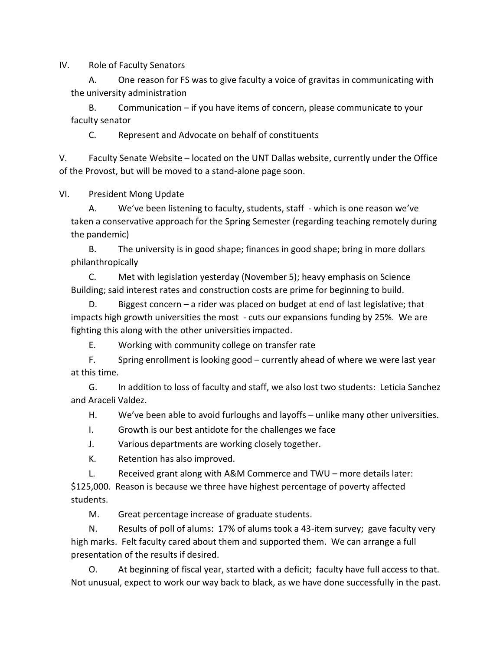IV. Role of Faculty Senators

A. One reason for FS was to give faculty a voice of gravitas in communicating with the university administration

B. Communication – if you have items of concern, please communicate to your faculty senator

C. Represent and Advocate on behalf of constituents

V. Faculty Senate Website – located on the UNT Dallas website, currently under the Office of the Provost, but will be moved to a stand-alone page soon.

VI. President Mong Update

A. We've been listening to faculty, students, staff - which is one reason we've taken a conservative approach for the Spring Semester (regarding teaching remotely during the pandemic)

B. The university is in good shape; finances in good shape; bring in more dollars philanthropically

C. Met with legislation yesterday (November 5); heavy emphasis on Science Building; said interest rates and construction costs are prime for beginning to build.

D. Biggest concern – a rider was placed on budget at end of last legislative; that impacts high growth universities the most - cuts our expansions funding by 25%. We are fighting this along with the other universities impacted.

E. Working with community college on transfer rate

F. Spring enrollment is looking good – currently ahead of where we were last year at this time.

G. In addition to loss of faculty and staff, we also lost two students: Leticia Sanchez and Araceli Valdez.

H. We've been able to avoid furloughs and layoffs – unlike many other universities.

I. Growth is our best antidote for the challenges we face

J. Various departments are working closely together.

K. Retention has also improved.

L. Received grant along with A&M Commerce and TWU – more details later:

\$125,000. Reason is because we three have highest percentage of poverty affected students.

M. Great percentage increase of graduate students.

N. Results of poll of alums: 17% of alums took a 43-item survey; gave faculty very high marks. Felt faculty cared about them and supported them. We can arrange a full presentation of the results if desired.

O. At beginning of fiscal year, started with a deficit; faculty have full access to that. Not unusual, expect to work our way back to black, as we have done successfully in the past.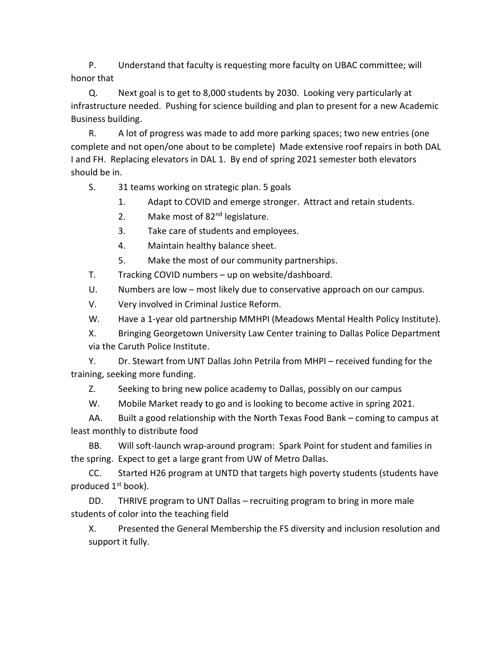P. Understand that faculty is requesting more faculty on UBAC committee; will honor that

Q. Next goal is to get to 8,000 students by 2030. Looking very particularly at infrastructure needed. Pushing for science building and plan to present for a new Academic Business building.

R. A lot of progress was made to add more parking spaces; two new entries (one complete and not open/one about to be complete) Made extensive roof repairs in both DAL I and FH. Replacing elevators in DAL 1. By end of spring 2021 semester both elevators should be in.

S. 31 teams working on strategic plan. 5 goals

1. Adapt to COVID and emerge stronger. Attract and retain students.

2. Make most of 82<sup>nd</sup> legislature.

3. Take care of students and employees.

4. Maintain healthy balance sheet.

5. Make the most of our community partnerships.

T. Tracking COVID numbers – up on website/dashboard.

U. Numbers are low – most likely due to conservative approach on our campus.

V. Very involved in Criminal Justice Reform.

W. Have a 1-year old partnership MMHPI (Meadows Mental Health Policy Institute).

X. Bringing Georgetown University Law Center training to Dallas Police Department via the Caruth Police Institute.

Y. Dr. Stewart from UNT Dallas John Petrila from MHPI – received funding for the training, seeking more funding.

Z. Seeking to bring new police academy to Dallas, possibly on our campus

W. Mobile Market ready to go and is looking to become active in spring 2021.

AA. Built a good relationship with the North Texas Food Bank – coming to campus at least monthly to distribute food

BB. Will soft-launch wrap-around program: Spark Point for student and families in the spring. Expect to get a large grant from UW of Metro Dallas.

CC. Started H26 program at UNTD that targets high poverty students (students have produced  $1<sup>st</sup>$  book).

DD. THRIVE program to UNT Dallas – recruiting program to bring in more male students of color into the teaching field

X. Presented the General Membership the FS diversity and inclusion resolution and support it fully.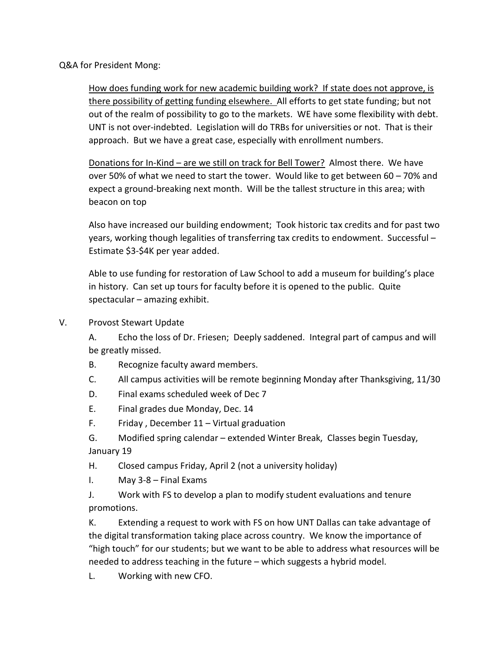Q&A for President Mong:

How does funding work for new academic building work? If state does not approve, is there possibility of getting funding elsewhere. All efforts to get state funding; but not out of the realm of possibility to go to the markets. WE have some flexibility with debt. UNT is not over-indebted. Legislation will do TRBs for universities or not. That is their approach. But we have a great case, especially with enrollment numbers.

Donations for In-Kind – are we still on track for Bell Tower? Almost there. We have over 50% of what we need to start the tower. Would like to get between 60 – 70% and expect a ground-breaking next month. Will be the tallest structure in this area; with beacon on top

Also have increased our building endowment; Took historic tax credits and for past two years, working though legalities of transferring tax credits to endowment. Successful – Estimate \$3-\$4K per year added.

Able to use funding for restoration of Law School to add a museum for building's place in history. Can set up tours for faculty before it is opened to the public. Quite spectacular – amazing exhibit.

V. Provost Stewart Update

A. Echo the loss of Dr. Friesen; Deeply saddened. Integral part of campus and will be greatly missed.

- B. Recognize faculty award members.
- C. All campus activities will be remote beginning Monday after Thanksgiving, 11/30
- D. Final exams scheduled week of Dec 7
- E. Final grades due Monday, Dec. 14
- F. Friday , December 11 Virtual graduation
- G. Modified spring calendar extended Winter Break, Classes begin Tuesday, January 19
- H. Closed campus Friday, April 2 (not a university holiday)
- I. May 3-8 Final Exams
- J. Work with FS to develop a plan to modify student evaluations and tenure promotions.

K. Extending a request to work with FS on how UNT Dallas can take advantage of the digital transformation taking place across country. We know the importance of "high touch" for our students; but we want to be able to address what resources will be needed to address teaching in the future – which suggests a hybrid model.

L. Working with new CFO.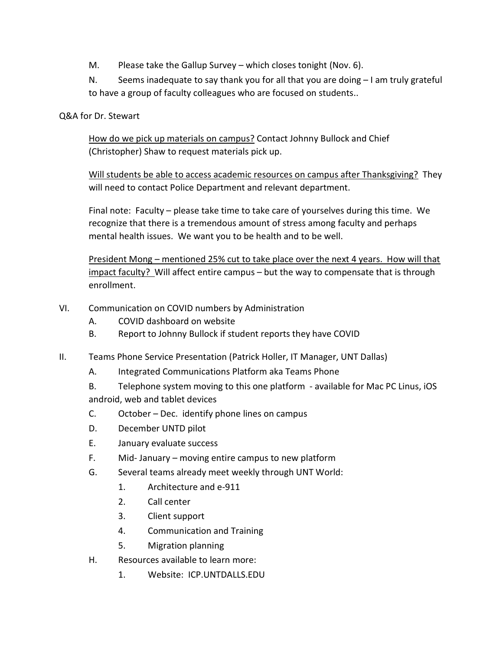M. Please take the Gallup Survey – which closes tonight (Nov. 6).

N. Seems inadequate to say thank you for all that you are doing – I am truly grateful to have a group of faculty colleagues who are focused on students..

# Q&A for Dr. Stewart

How do we pick up materials on campus? Contact Johnny Bullock and Chief (Christopher) Shaw to request materials pick up.

Will students be able to access academic resources on campus after Thanksgiving? They will need to contact Police Department and relevant department.

Final note: Faculty – please take time to take care of yourselves during this time. We recognize that there is a tremendous amount of stress among faculty and perhaps mental health issues. We want you to be health and to be well.

President Mong – mentioned 25% cut to take place over the next 4 years. How will that impact faculty? Will affect entire campus - but the way to compensate that is through enrollment.

- VI. Communication on COVID numbers by Administration
	- A. COVID dashboard on website
	- B. Report to Johnny Bullock if student reports they have COVID
- II. Teams Phone Service Presentation (Patrick Holler, IT Manager, UNT Dallas)
	- A. Integrated Communications Platform aka Teams Phone
	- B. Telephone system moving to this one platform available for Mac PC Linus, iOS android, web and tablet devices
	- C. October Dec. identify phone lines on campus
	- D. December UNTD pilot
	- E. January evaluate success
	- F. Mid- January moving entire campus to new platform
	- G. Several teams already meet weekly through UNT World:
		- 1. Architecture and e-911
		- 2. Call center
		- 3. Client support
		- 4. Communication and Training
		- 5. Migration planning
	- H. Resources available to learn more:
		- 1. Website: ICP.UNTDALLS.EDU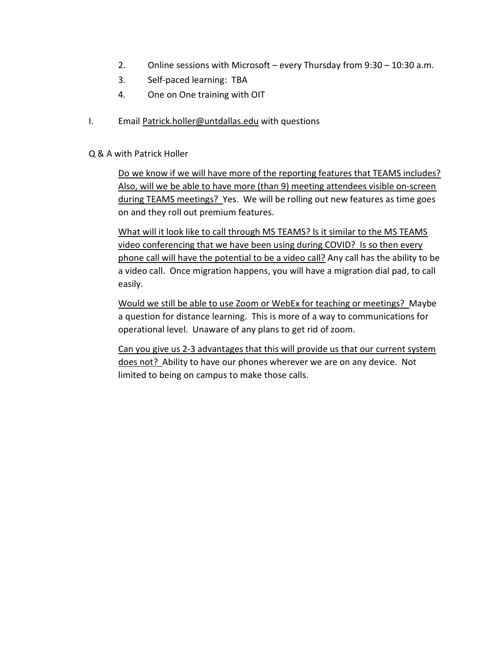- 2. Online sessions with Microsoft every Thursday from 9:30 10:30 a.m.
- 3. Self-paced learning: TBA
- 4. One on One training with OIT
- I. Email Patrick.holler@untdallas.edu with questions

#### Q & A with Patrick Holler

Do we know if we will have more of the reporting features that TEAMS includes? Also, will we be able to have more (than 9) meeting attendees visible on-screen during TEAMS meetings? Yes. We will be rolling out new features as time goes on and they roll out premium features.

What will it look like to call through MS TEAMS? Is it similar to the MS TEAMS video conferencing that we have been using during COVID? Is so then every phone call will have the potential to be a video call? Any call has the ability to be a video call. Once migration happens, you will have a migration dial pad, to call easily.

Would we still be able to use Zoom or WebEx for teaching or meetings? Maybe a question for distance learning. This is more of a way to communications for operational level. Unaware of any plans to get rid of zoom.

Can you give us 2-3 advantages that this will provide us that our current system does not? Ability to have our phones wherever we are on any device. Not limited to being on campus to make those calls.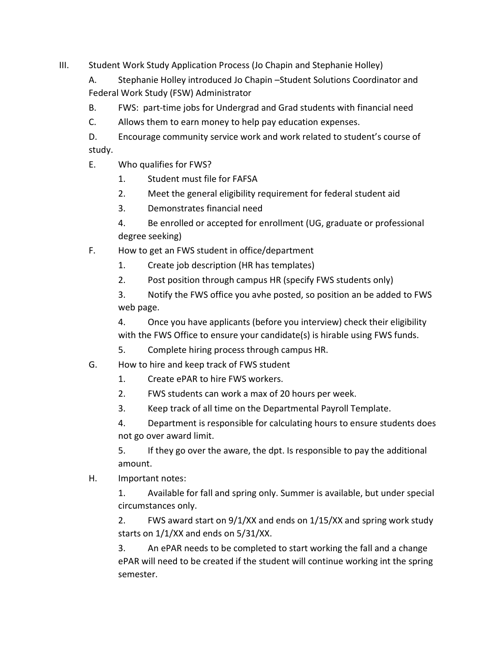III. Student Work Study Application Process (Jo Chapin and Stephanie Holley)

A. Stephanie Holley introduced Jo Chapin –Student Solutions Coordinator and Federal Work Study (FSW) Administrator

B. FWS: part-time jobs for Undergrad and Grad students with financial need

C. Allows them to earn money to help pay education expenses.

D. Encourage community service work and work related to student's course of study.

- E. Who qualifies for FWS?
	- 1. Student must file for FAFSA
	- 2. Meet the general eligibility requirement for federal student aid
	- 3. Demonstrates financial need

4. Be enrolled or accepted for enrollment (UG, graduate or professional degree seeking)

- F. How to get an FWS student in office/department
	- 1. Create job description (HR has templates)
	- 2. Post position through campus HR (specify FWS students only)

3. Notify the FWS office you avhe posted, so position an be added to FWS web page.

4. Once you have applicants (before you interview) check their eligibility with the FWS Office to ensure your candidate(s) is hirable using FWS funds.

5. Complete hiring process through campus HR.

- G. How to hire and keep track of FWS student
	- 1. Create ePAR to hire FWS workers.
	- 2. FWS students can work a max of 20 hours per week.
	- 3. Keep track of all time on the Departmental Payroll Template.

4. Department is responsible for calculating hours to ensure students does not go over award limit.

5. If they go over the aware, the dpt. Is responsible to pay the additional amount.

H. Important notes:

1. Available for fall and spring only. Summer is available, but under special circumstances only.

2. FWS award start on 9/1/XX and ends on 1/15/XX and spring work study starts on 1/1/XX and ends on 5/31/XX.

3. An ePAR needs to be completed to start working the fall and a change ePAR will need to be created if the student will continue working int the spring semester.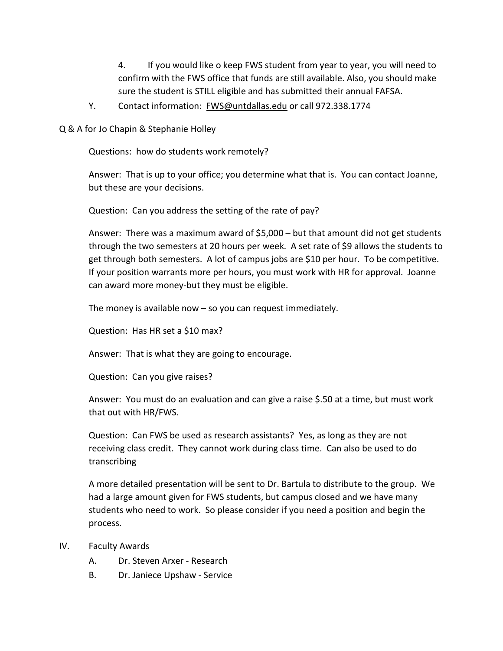4. If you would like o keep FWS student from year to year, you will need to confirm with the FWS office that funds are still available. Also, you should make sure the student is STILL eligible and has submitted their annual FAFSA.

Y. Contact information: FWS@untdallas.edu or call 972.338.1774

Q & A for Jo Chapin & Stephanie Holley

Questions: how do students work remotely?

Answer: That is up to your office; you determine what that is. You can contact Joanne, but these are your decisions.

Question: Can you address the setting of the rate of pay?

Answer: There was a maximum award of \$5,000 – but that amount did not get students through the two semesters at 20 hours per week. A set rate of \$9 allows the students to get through both semesters. A lot of campus jobs are \$10 per hour. To be competitive. If your position warrants more per hours, you must work with HR for approval. Joanne can award more money-but they must be eligible.

The money is available now  $-$  so you can request immediately.

Question: Has HR set a \$10 max?

Answer: That is what they are going to encourage.

Question: Can you give raises?

Answer: You must do an evaluation and can give a raise \$.50 at a time, but must work that out with HR/FWS.

Question: Can FWS be used as research assistants? Yes, as long as they are not receiving class credit. They cannot work during class time. Can also be used to do transcribing

A more detailed presentation will be sent to Dr. Bartula to distribute to the group. We had a large amount given for FWS students, but campus closed and we have many students who need to work. So please consider if you need a position and begin the process.

- IV. Faculty Awards
	- A. Dr. Steven Arxer Research
	- B. Dr. Janiece Upshaw Service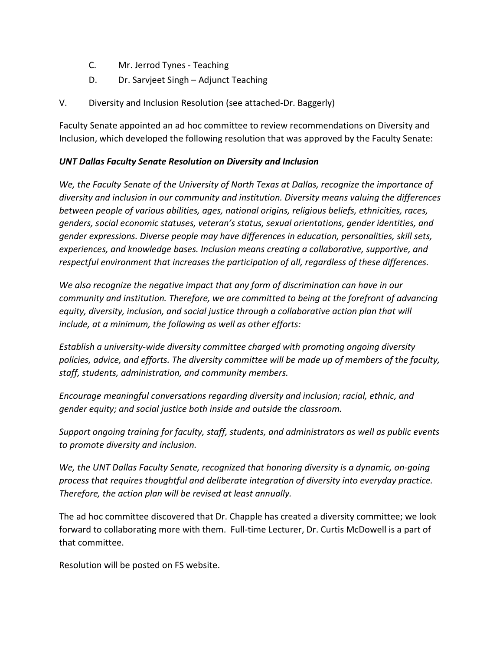- C. Mr. Jerrod Tynes Teaching
- D. Dr. Sarvjeet Singh Adjunct Teaching
- V. Diversity and Inclusion Resolution (see attached-Dr. Baggerly)

Faculty Senate appointed an ad hoc committee to review recommendations on Diversity and Inclusion, which developed the following resolution that was approved by the Faculty Senate:

# UNT Dallas Faculty Senate Resolution on Diversity and Inclusion

We, the Faculty Senate of the University of North Texas at Dallas, recognize the importance of diversity and inclusion in our community and institution. Diversity means valuing the differences between people of various abilities, ages, national origins, religious beliefs, ethnicities, races, genders, social economic statuses, veteran's status, sexual orientations, gender identities, and gender expressions. Diverse people may have differences in education, personalities, skill sets, experiences, and knowledge bases. Inclusion means creating a collaborative, supportive, and respectful environment that increases the participation of all, regardless of these differences.

We also recognize the negative impact that any form of discrimination can have in our community and institution. Therefore, we are committed to being at the forefront of advancing equity, diversity, inclusion, and social justice through a collaborative action plan that will include, at a minimum, the following as well as other efforts:

Establish a university-wide diversity committee charged with promoting ongoing diversity policies, advice, and efforts. The diversity committee will be made up of members of the faculty, staff, students, administration, and community members.

Encourage meaningful conversations regarding diversity and inclusion; racial, ethnic, and gender equity; and social justice both inside and outside the classroom.

Support ongoing training for faculty, staff, students, and administrators as well as public events to promote diversity and inclusion.

We, the UNT Dallas Faculty Senate, recognized that honoring diversity is a dynamic, on-going process that requires thoughtful and deliberate integration of diversity into everyday practice. Therefore, the action plan will be revised at least annually.

The ad hoc committee discovered that Dr. Chapple has created a diversity committee; we look forward to collaborating more with them. Full-time Lecturer, Dr. Curtis McDowell is a part of that committee.

Resolution will be posted on FS website.